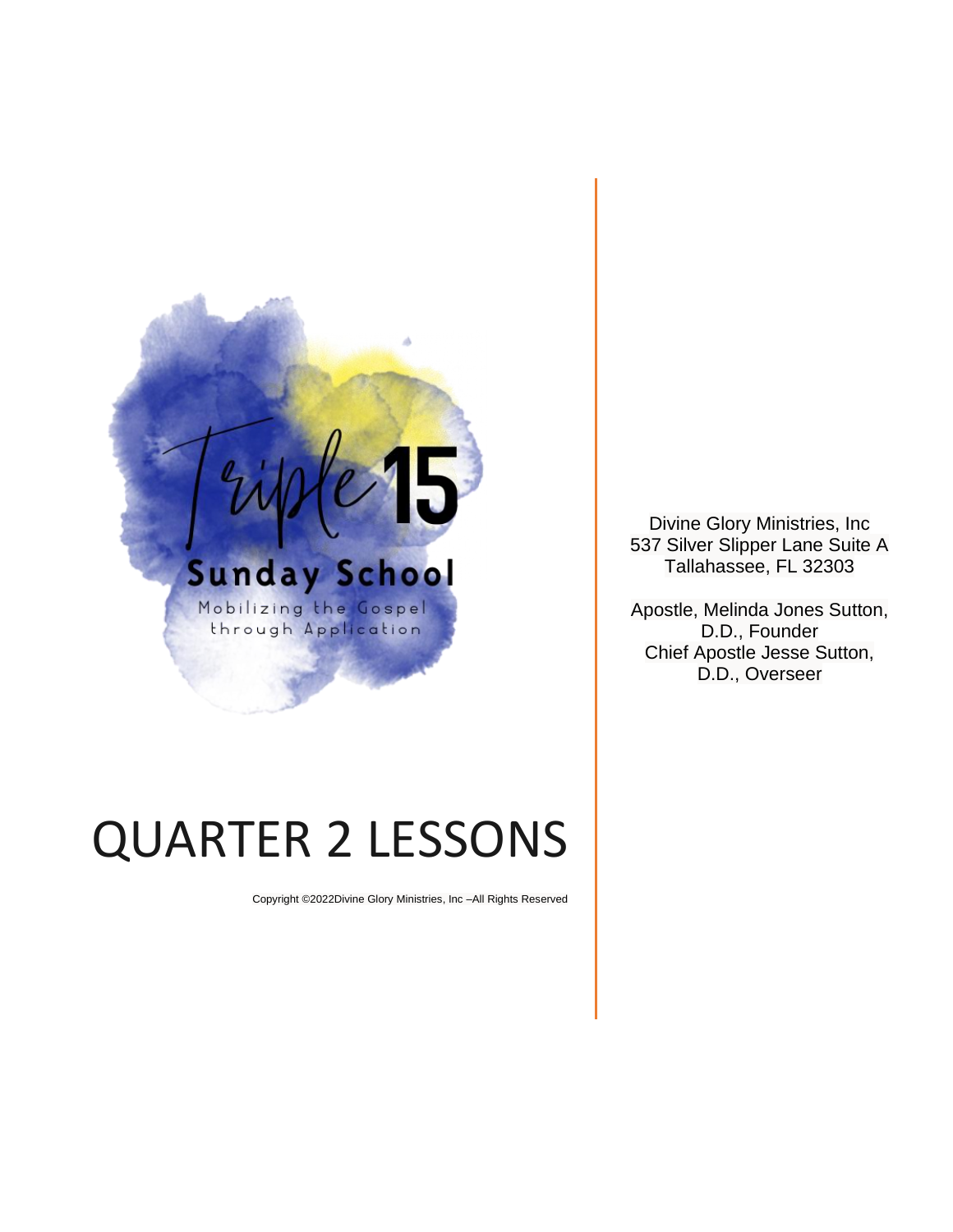

# QUARTER 2 LESSONS

Copyright ©2022Divine Glory Ministries, Inc –All Rights Reserved

Divine Glory Ministries, Inc 537 Silver Slipper Lane Suite A Tallahassee, FL 32303

Apostle, Melinda Jones Sutton, D.D., Founder Chief Apostle Jesse Sutton, D.D., Overseer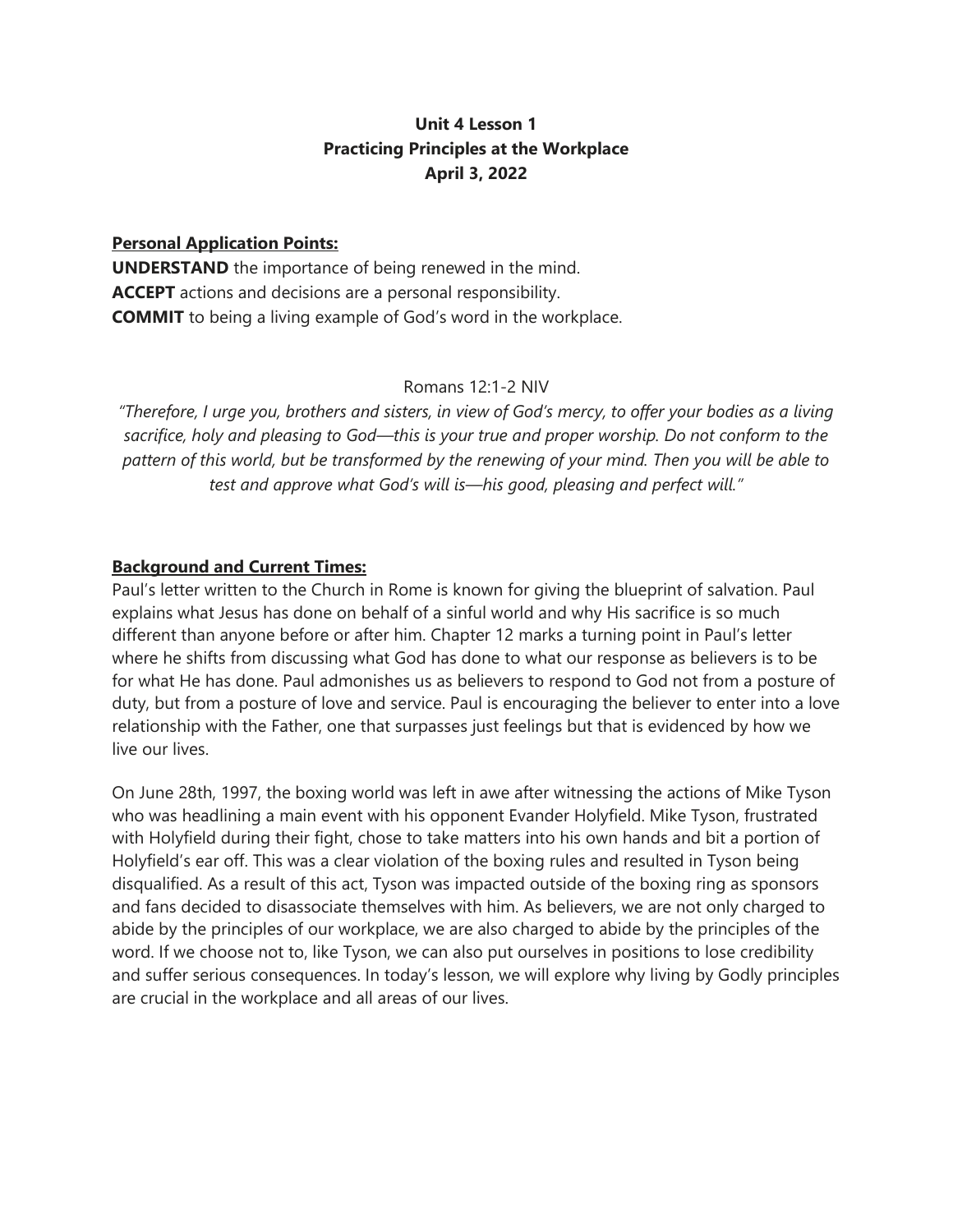# **Unit 4 Lesson 1 Practicing Principles at the Workplace April 3, 2022**

#### **Personal Application Points:**

**UNDERSTAND** the importance of being renewed in the mind. **ACCEPT** actions and decisions are a personal responsibility. **COMMIT** to being a living example of God's word in the workplace.

#### Romans 12:1-2 NIV

*"Therefore, I urge you, brothers and sisters, in view of God's mercy, to offer your bodies as a living sacrifice, holy and pleasing to God—this is your true and proper worship. Do not conform to the pattern of this world, but be transformed by the renewing of your mind. Then you will be able to test and approve what God's will is—his good, pleasing and perfect will."*

#### **Background and Current Times:**

Paul's letter written to the Church in Rome is known for giving the blueprint of salvation. Paul explains what Jesus has done on behalf of a sinful world and why His sacrifice is so much different than anyone before or after him. Chapter 12 marks a turning point in Paul's letter where he shifts from discussing what God has done to what our response as believers is to be for what He has done. Paul admonishes us as believers to respond to God not from a posture of duty, but from a posture of love and service. Paul is encouraging the believer to enter into a love relationship with the Father, one that surpasses just feelings but that is evidenced by how we live our lives.

On June 28th, 1997, the boxing world was left in awe after witnessing the actions of Mike Tyson who was headlining a main event with his opponent Evander Holyfield. Mike Tyson, frustrated with Holyfield during their fight, chose to take matters into his own hands and bit a portion of Holyfield's ear off. This was a clear violation of the boxing rules and resulted in Tyson being disqualified. As a result of this act, Tyson was impacted outside of the boxing ring as sponsors and fans decided to disassociate themselves with him. As believers, we are not only charged to abide by the principles of our workplace, we are also charged to abide by the principles of the word. If we choose not to, like Tyson, we can also put ourselves in positions to lose credibility and suffer serious consequences. In today's lesson, we will explore why living by Godly principles are crucial in the workplace and all areas of our lives.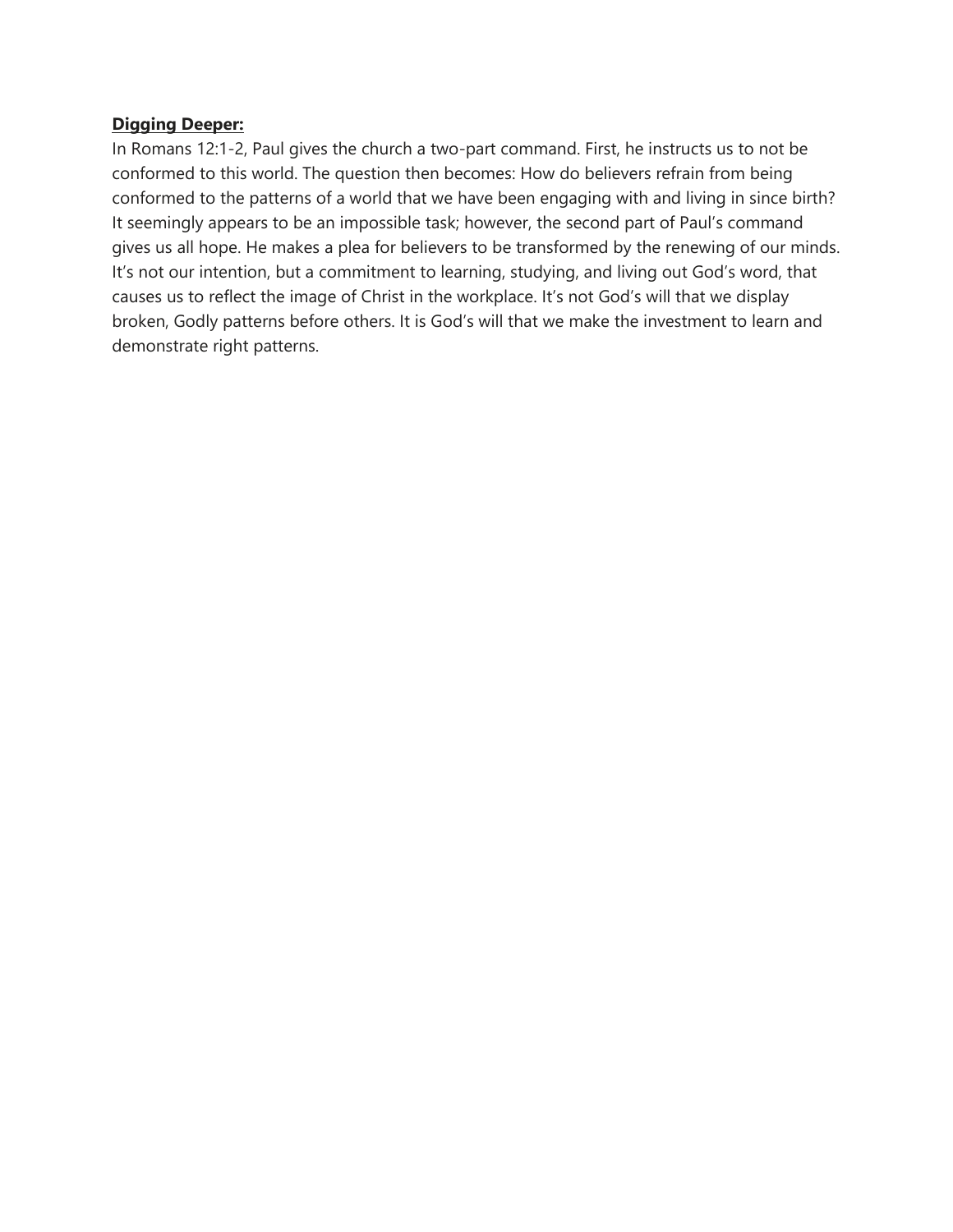#### **Digging Deeper:**

In Romans 12:1-2, Paul gives the church a two-part command. First, he instructs us to not be conformed to this world. The question then becomes: How do believers refrain from being conformed to the patterns of a world that we have been engaging with and living in since birth? It seemingly appears to be an impossible task; however, the second part of Paul's command gives us all hope. He makes a plea for believers to be transformed by the renewing of our minds. It's not our intention, but a commitment to learning, studying, and living out God's word, that causes us to reflect the image of Christ in the workplace. It's not God's will that we display broken, Godly patterns before others. It is God's will that we make the investment to learn and demonstrate right patterns.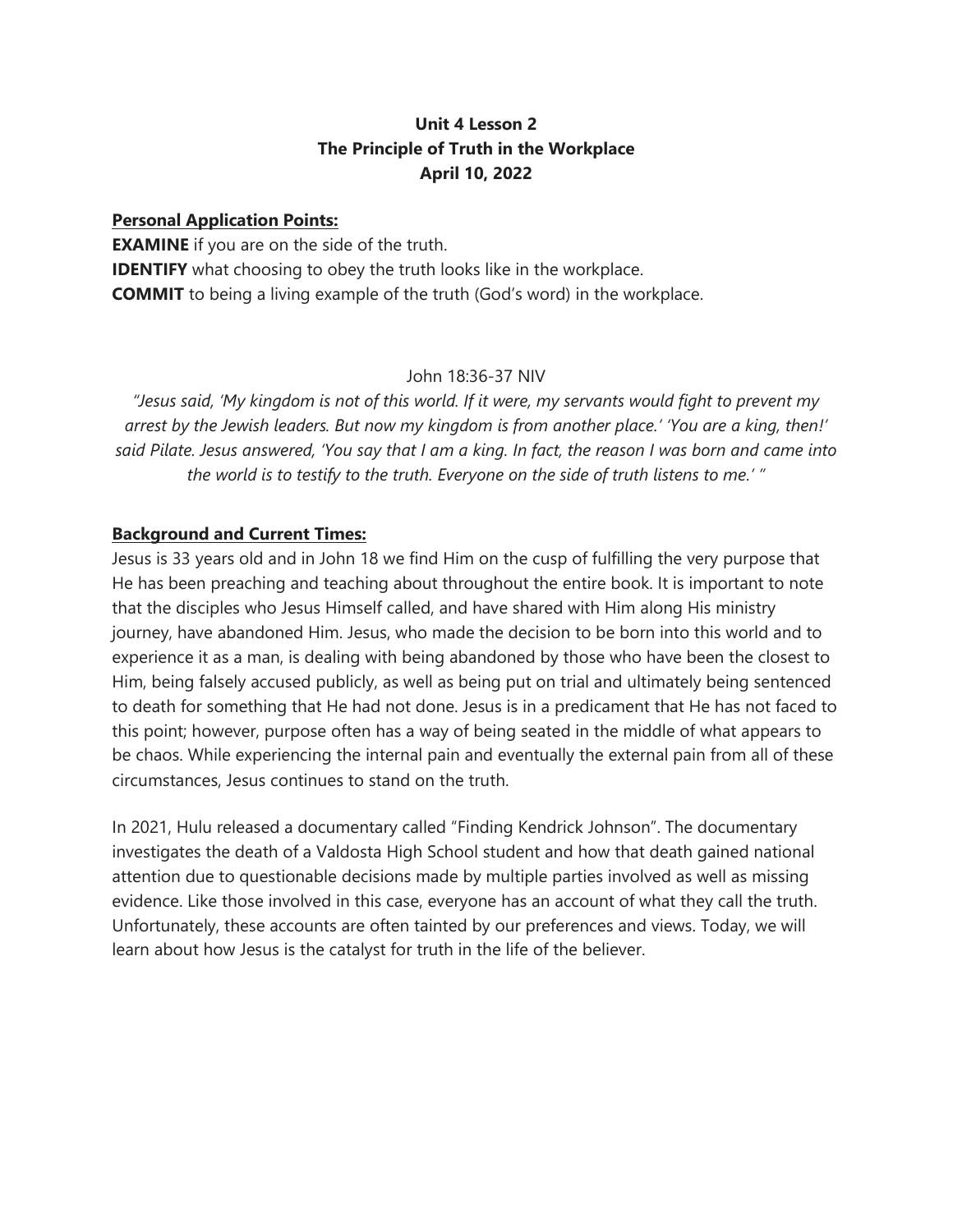# **Unit 4 Lesson 2 The Principle of Truth in the Workplace April 10, 2022**

#### **Personal Application Points:**

**EXAMINE** if you are on the side of the truth. **IDENTIFY** what choosing to obey the truth looks like in the workplace. **COMMIT** to being a living example of the truth (God's word) in the workplace.

# John 18:36-37 NIV

*"Jesus said, 'My kingdom is not of this world. If it were, my servants would fight to prevent my arrest by the Jewish leaders. But now my kingdom is from another place.' 'You are a king, then!' said Pilate. Jesus answered, 'You say that I am a king. In fact, the reason I was born and came into the world is to testify to the truth. Everyone on the side of truth listens to me.' "*

# **Background and Current Times:**

Jesus is 33 years old and in John 18 we find Him on the cusp of fulfilling the very purpose that He has been preaching and teaching about throughout the entire book. It is important to note that the disciples who Jesus Himself called, and have shared with Him along His ministry journey, have abandoned Him. Jesus, who made the decision to be born into this world and to experience it as a man, is dealing with being abandoned by those who have been the closest to Him, being falsely accused publicly, as well as being put on trial and ultimately being sentenced to death for something that He had not done. Jesus is in a predicament that He has not faced to this point; however, purpose often has a way of being seated in the middle of what appears to be chaos. While experiencing the internal pain and eventually the external pain from all of these circumstances, Jesus continues to stand on the truth.

In 2021, Hulu released a documentary called "Finding Kendrick Johnson". The documentary investigates the death of a Valdosta High School student and how that death gained national attention due to questionable decisions made by multiple parties involved as well as missing evidence. Like those involved in this case, everyone has an account of what they call the truth. Unfortunately, these accounts are often tainted by our preferences and views. Today, we will learn about how Jesus is the catalyst for truth in the life of the believer.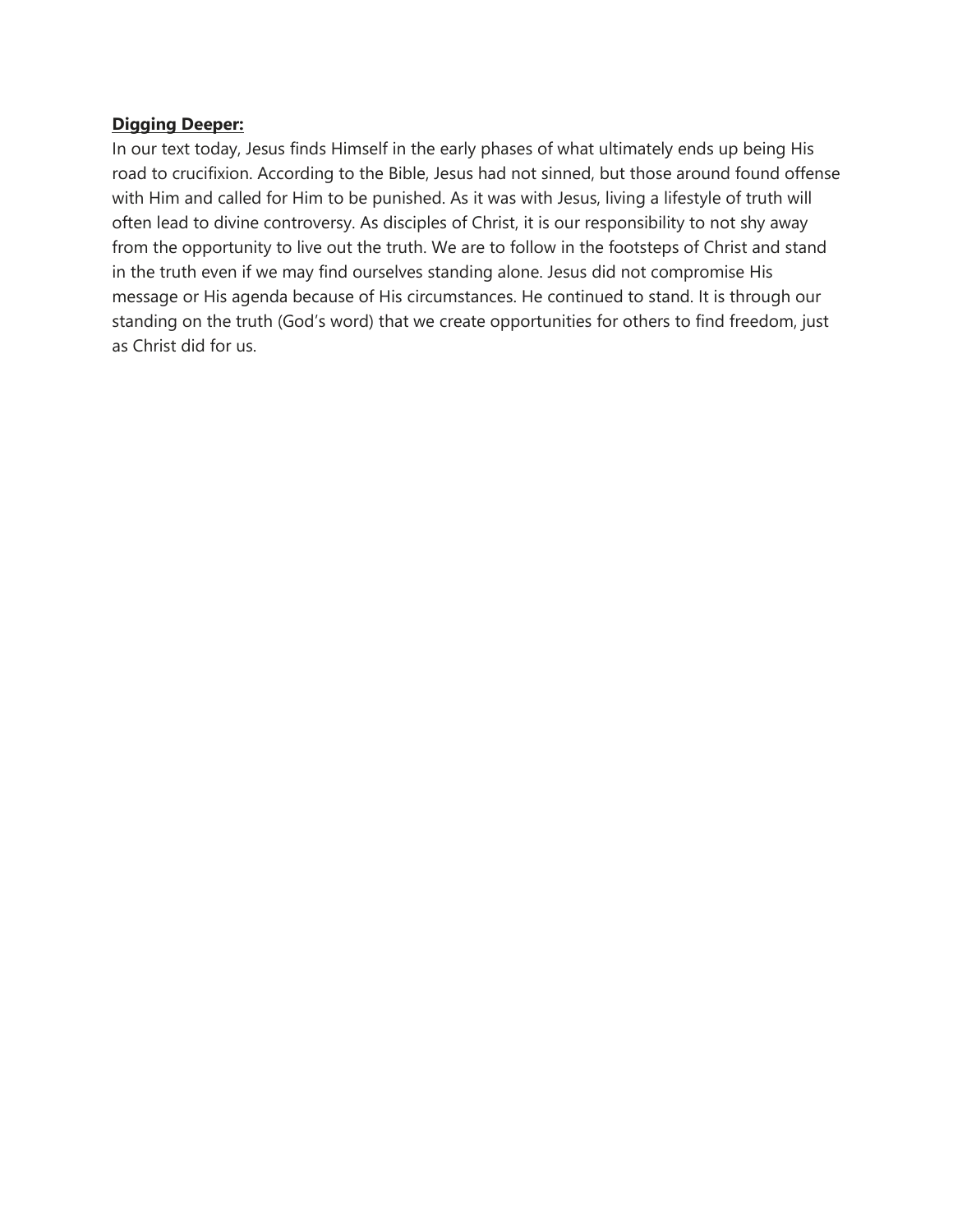#### **Digging Deeper:**

In our text today, Jesus finds Himself in the early phases of what ultimately ends up being His road to crucifixion. According to the Bible, Jesus had not sinned, but those around found offense with Him and called for Him to be punished. As it was with Jesus, living a lifestyle of truth will often lead to divine controversy. As disciples of Christ, it is our responsibility to not shy away from the opportunity to live out the truth. We are to follow in the footsteps of Christ and stand in the truth even if we may find ourselves standing alone. Jesus did not compromise His message or His agenda because of His circumstances. He continued to stand. It is through our standing on the truth (God's word) that we create opportunities for others to find freedom, just as Christ did for us.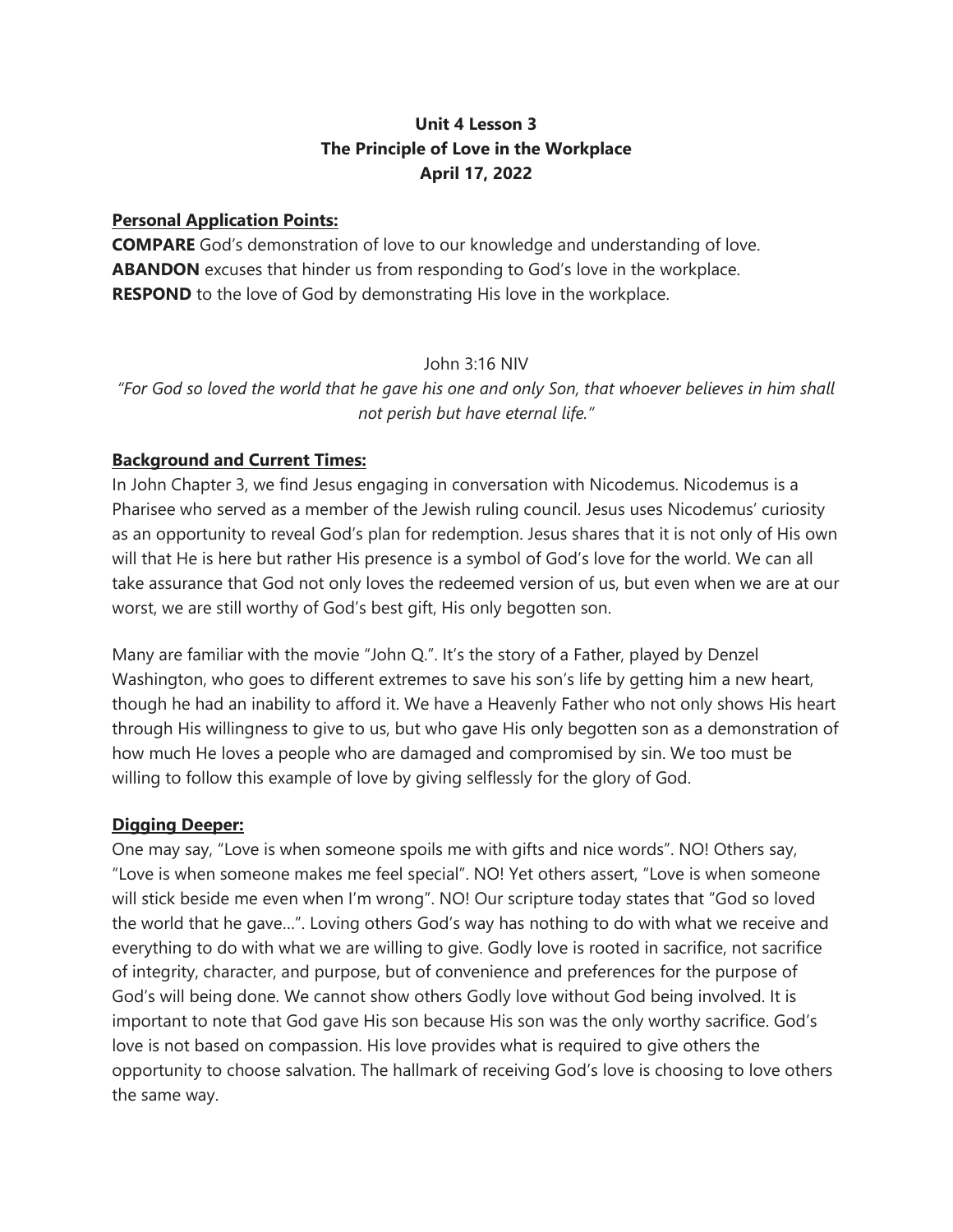# **Unit 4 Lesson 3 The Principle of Love in the Workplace April 17, 2022**

# **Personal Application Points:**

**COMPARE** God's demonstration of love to our knowledge and understanding of love. **ABANDON** excuses that hinder us from responding to God's love in the workplace. **RESPOND** to the love of God by demonstrating His love in the workplace.

# John 3:16 NIV

*"For God so loved the world that he gave his one and only Son, that whoever believes in him shall not perish but have eternal life."*

# **Background and Current Times:**

In John Chapter 3, we find Jesus engaging in conversation with Nicodemus. Nicodemus is a Pharisee who served as a member of the Jewish ruling council. Jesus uses Nicodemus' curiosity as an opportunity to reveal God's plan for redemption. Jesus shares that it is not only of His own will that He is here but rather His presence is a symbol of God's love for the world. We can all take assurance that God not only loves the redeemed version of us, but even when we are at our worst, we are still worthy of God's best gift, His only begotten son.

Many are familiar with the movie "John Q.". It's the story of a Father, played by Denzel Washington, who goes to different extremes to save his son's life by getting him a new heart, though he had an inability to afford it. We have a Heavenly Father who not only shows His heart through His willingness to give to us, but who gave His only begotten son as a demonstration of how much He loves a people who are damaged and compromised by sin. We too must be willing to follow this example of love by giving selflessly for the glory of God.

# **Digging Deeper:**

One may say, "Love is when someone spoils me with gifts and nice words". NO! Others say, "Love is when someone makes me feel special". NO! Yet others assert, "Love is when someone will stick beside me even when I'm wrong". NO! Our scripture today states that "God so loved the world that he gave…". Loving others God's way has nothing to do with what we receive and everything to do with what we are willing to give. Godly love is rooted in sacrifice, not sacrifice of integrity, character, and purpose, but of convenience and preferences for the purpose of God's will being done. We cannot show others Godly love without God being involved. It is important to note that God gave His son because His son was the only worthy sacrifice. God's love is not based on compassion. His love provides what is required to give others the opportunity to choose salvation. The hallmark of receiving God's love is choosing to love others the same way.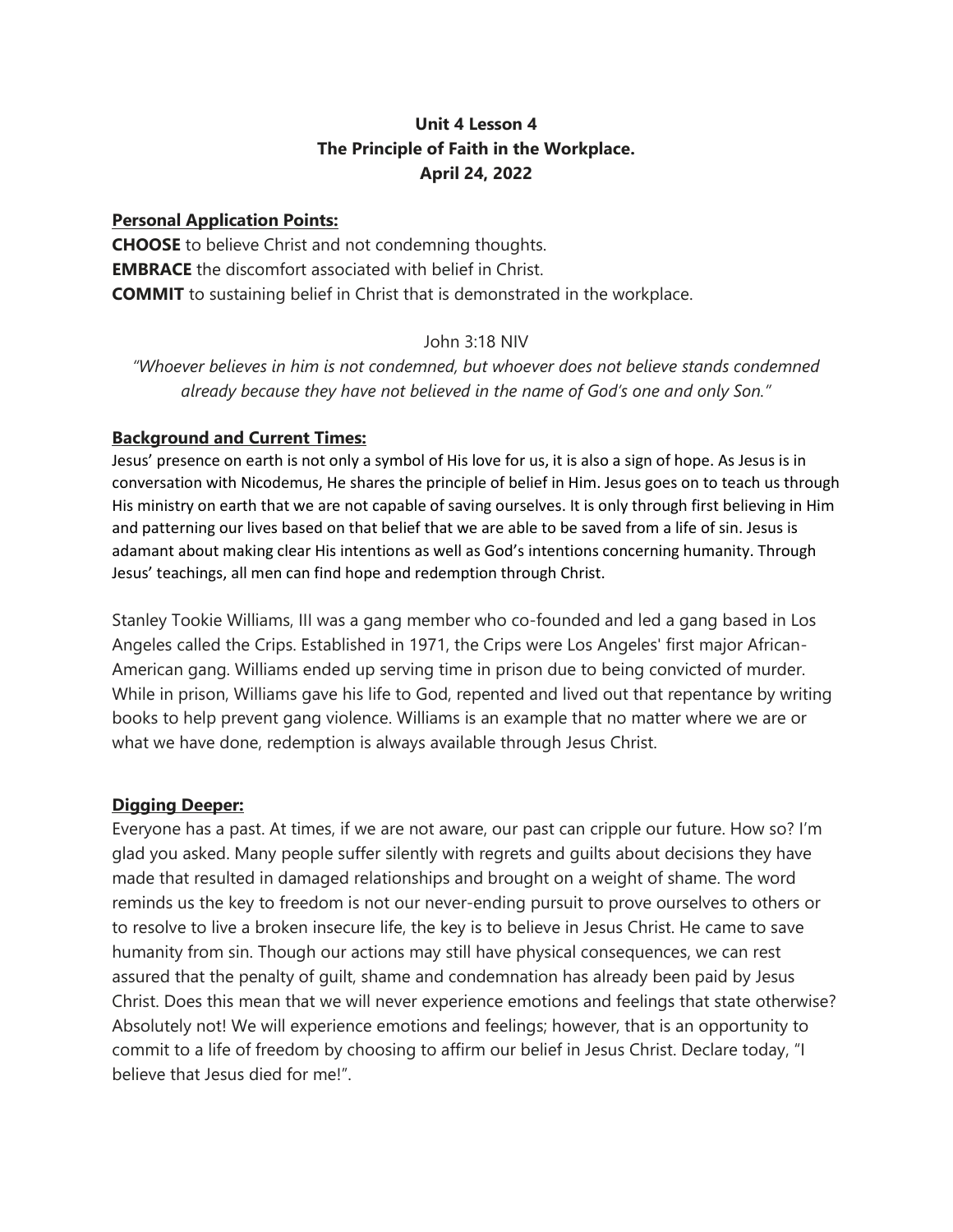# **Unit 4 Lesson 4 The Principle of Faith in the Workplace. April 24, 2022**

#### **Personal Application Points:**

**CHOOSE** to believe Christ and not condemning thoughts. **EMBRACE** the discomfort associated with belief in Christ. **COMMIT** to sustaining belief in Christ that is demonstrated in the workplace.

#### John 3:18 NIV

*"Whoever believes in him is not condemned, but whoever does not believe stands condemned already because they have not believed in the name of God's one and only Son."*

#### **Background and Current Times:**

Jesus' presence on earth is not only a symbol of His love for us, it is also a sign of hope. As Jesus is in conversation with Nicodemus, He shares the principle of belief in Him. Jesus goes on to teach us through His ministry on earth that we are not capable of saving ourselves. It is only through first believing in Him and patterning our lives based on that belief that we are able to be saved from a life of sin. Jesus is adamant about making clear His intentions as well as God's intentions concerning humanity. Through Jesus' teachings, all men can find hope and redemption through Christ.

Stanley Tookie Williams, III was a gang member who co-founded and led a gang based in Los Angeles called the Crips. Established in 1971, the Crips were Los Angeles' first major African-American gang. Williams ended up serving time in prison due to being convicted of murder. While in prison, Williams gave his life to God, repented and lived out that repentance by writing books to help prevent gang violence. Williams is an example that no matter where we are or what we have done, redemption is always available through Jesus Christ.

# **Digging Deeper:**

Everyone has a past. At times, if we are not aware, our past can cripple our future. How so? I'm glad you asked. Many people suffer silently with regrets and guilts about decisions they have made that resulted in damaged relationships and brought on a weight of shame. The word reminds us the key to freedom is not our never-ending pursuit to prove ourselves to others or to resolve to live a broken insecure life, the key is to believe in Jesus Christ. He came to save humanity from sin. Though our actions may still have physical consequences, we can rest assured that the penalty of guilt, shame and condemnation has already been paid by Jesus Christ. Does this mean that we will never experience emotions and feelings that state otherwise? Absolutely not! We will experience emotions and feelings; however, that is an opportunity to commit to a life of freedom by choosing to affirm our belief in Jesus Christ. Declare today, "I believe that Jesus died for me!".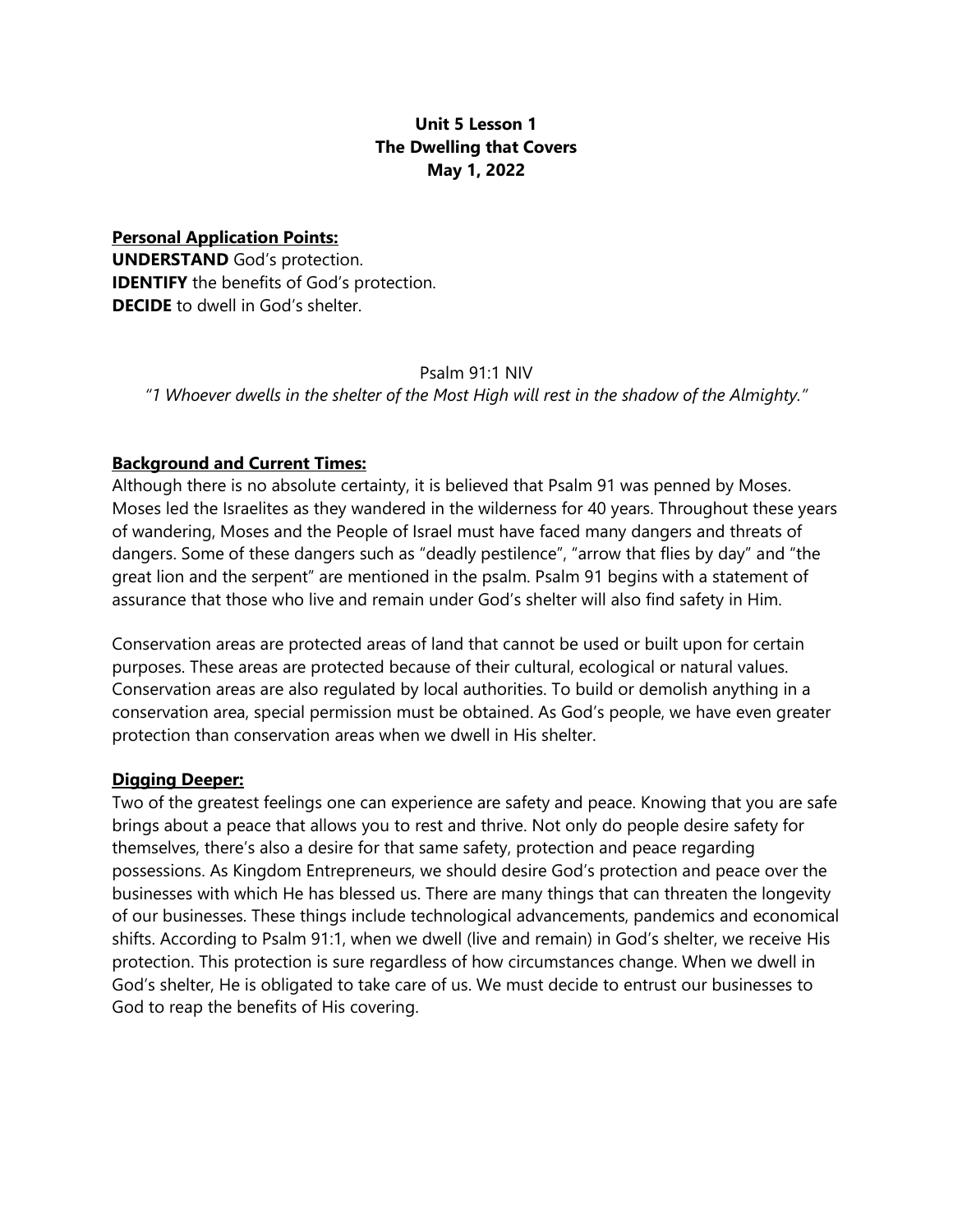# **Unit 5 Lesson 1 The Dwelling that Covers May 1, 2022**

**Personal Application Points: UNDERSTAND** God's protection. **IDENTIFY** the benefits of God's protection. **DECIDE** to dwell in God's shelter.

#### Psalm 91:1 NIV

*"1 Whoever dwells in the shelter of the Most High will rest in the shadow of the Almighty."*

#### **Background and Current Times:**

Although there is no absolute certainty, it is believed that Psalm 91 was penned by Moses. Moses led the Israelites as they wandered in the wilderness for 40 years. Throughout these years of wandering, Moses and the People of Israel must have faced many dangers and threats of dangers. Some of these dangers such as "deadly pestilence", "arrow that flies by day" and "the great lion and the serpent" are mentioned in the psalm. Psalm 91 begins with a statement of assurance that those who live and remain under God's shelter will also find safety in Him.

Conservation areas are protected areas of land that cannot be used or built upon for certain purposes. These areas are protected because of their cultural, ecological or natural values. Conservation areas are also regulated by local authorities. To build or demolish anything in a conservation area, special permission must be obtained. As God's people, we have even greater protection than conservation areas when we dwell in His shelter.

#### **Digging Deeper:**

Two of the greatest feelings one can experience are safety and peace. Knowing that you are safe brings about a peace that allows you to rest and thrive. Not only do people desire safety for themselves, there's also a desire for that same safety, protection and peace regarding possessions. As Kingdom Entrepreneurs, we should desire God's protection and peace over the businesses with which He has blessed us. There are many things that can threaten the longevity of our businesses. These things include technological advancements, pandemics and economical shifts. According to Psalm 91:1, when we dwell (live and remain) in God's shelter, we receive His protection. This protection is sure regardless of how circumstances change. When we dwell in God's shelter, He is obligated to take care of us. We must decide to entrust our businesses to God to reap the benefits of His covering.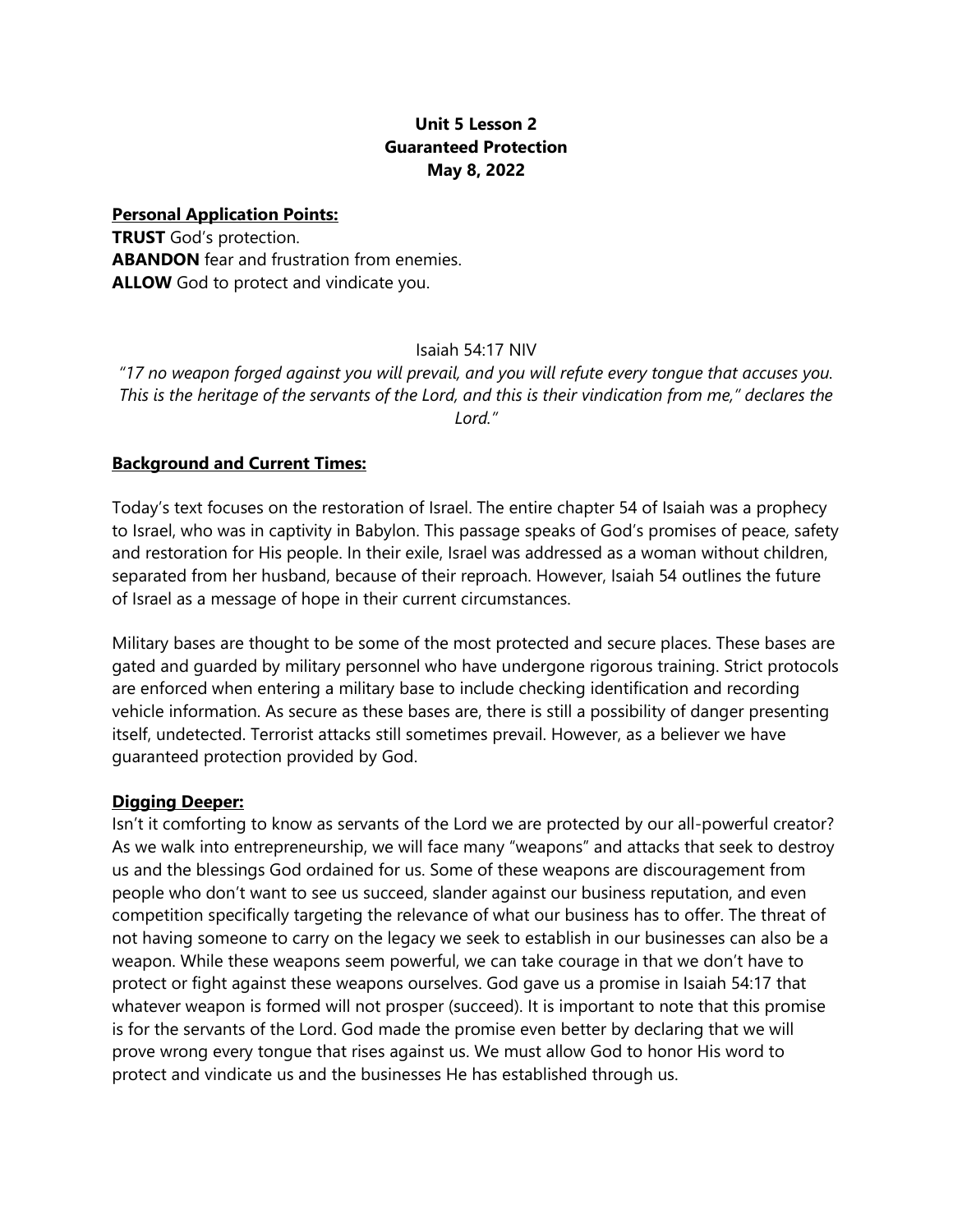# **Unit 5 Lesson 2 Guaranteed Protection May 8, 2022**

**Personal Application Points:** 

**TRUST** God's protection. **ABANDON** fear and frustration from enemies. **ALLOW** God to protect and vindicate you.

Isaiah 54:17 NIV

*"17 no weapon forged against you will prevail, and you will refute every tongue that accuses you. This is the heritage of the servants of the Lord, and this is their vindication from me," declares the Lord."*

# **Background and Current Times:**

Today's text focuses on the restoration of Israel. The entire chapter 54 of Isaiah was a prophecy to Israel, who was in captivity in Babylon. This passage speaks of God's promises of peace, safety and restoration for His people. In their exile, Israel was addressed as a woman without children, separated from her husband, because of their reproach. However, Isaiah 54 outlines the future of Israel as a message of hope in their current circumstances.

Military bases are thought to be some of the most protected and secure places. These bases are gated and guarded by military personnel who have undergone rigorous training. Strict protocols are enforced when entering a military base to include checking identification and recording vehicle information. As secure as these bases are, there is still a possibility of danger presenting itself, undetected. Terrorist attacks still sometimes prevail. However, as a believer we have guaranteed protection provided by God.

# **Digging Deeper:**

Isn't it comforting to know as servants of the Lord we are protected by our all-powerful creator? As we walk into entrepreneurship, we will face many "weapons" and attacks that seek to destroy us and the blessings God ordained for us. Some of these weapons are discouragement from people who don't want to see us succeed, slander against our business reputation, and even competition specifically targeting the relevance of what our business has to offer. The threat of not having someone to carry on the legacy we seek to establish in our businesses can also be a weapon. While these weapons seem powerful, we can take courage in that we don't have to protect or fight against these weapons ourselves. God gave us a promise in Isaiah 54:17 that whatever weapon is formed will not prosper (succeed). It is important to note that this promise is for the servants of the Lord. God made the promise even better by declaring that we will prove wrong every tongue that rises against us. We must allow God to honor His word to protect and vindicate us and the businesses He has established through us.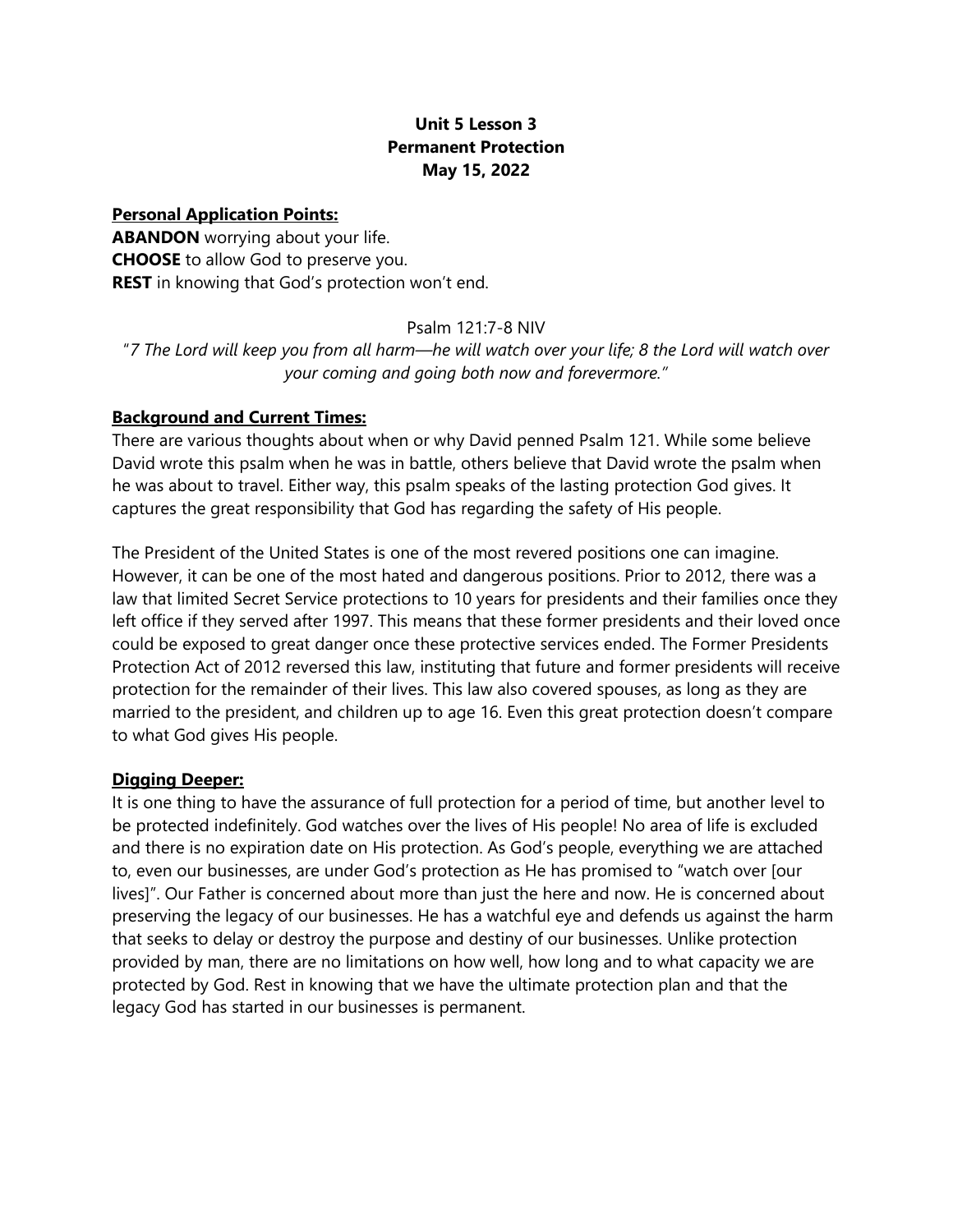# **Unit 5 Lesson 3 Permanent Protection May 15, 2022**

**Personal Application Points: ABANDON** worrying about your life. **CHOOSE** to allow God to preserve you. **REST** in knowing that God's protection won't end.

#### Psalm 121:7-8 NIV

"*7 The Lord will keep you from all harm—he will watch over your life; 8 the Lord will watch over your coming and going both now and forevermore."*

#### **Background and Current Times:**

There are various thoughts about when or why David penned Psalm 121. While some believe David wrote this psalm when he was in battle, others believe that David wrote the psalm when he was about to travel. Either way, this psalm speaks of the lasting protection God gives. It captures the great responsibility that God has regarding the safety of His people.

The President of the United States is one of the most revered positions one can imagine. However, it can be one of the most hated and dangerous positions. Prior to 2012, there was a law that limited Secret Service protections to 10 years for presidents and their families once they left office if they served after 1997. This means that these former presidents and their loved once could be exposed to great danger once these protective services ended. The Former Presidents Protection Act of 2012 reversed this law, instituting that future and former presidents will receive protection for the remainder of their lives. This law also covered spouses, as long as they are married to the president, and children up to age 16. Even this great protection doesn't compare to what God gives His people.

# **Digging Deeper:**

It is one thing to have the assurance of full protection for a period of time, but another level to be protected indefinitely. God watches over the lives of His people! No area of life is excluded and there is no expiration date on His protection. As God's people, everything we are attached to, even our businesses, are under God's protection as He has promised to "watch over [our lives]". Our Father is concerned about more than just the here and now. He is concerned about preserving the legacy of our businesses. He has a watchful eye and defends us against the harm that seeks to delay or destroy the purpose and destiny of our businesses. Unlike protection provided by man, there are no limitations on how well, how long and to what capacity we are protected by God. Rest in knowing that we have the ultimate protection plan and that the legacy God has started in our businesses is permanent.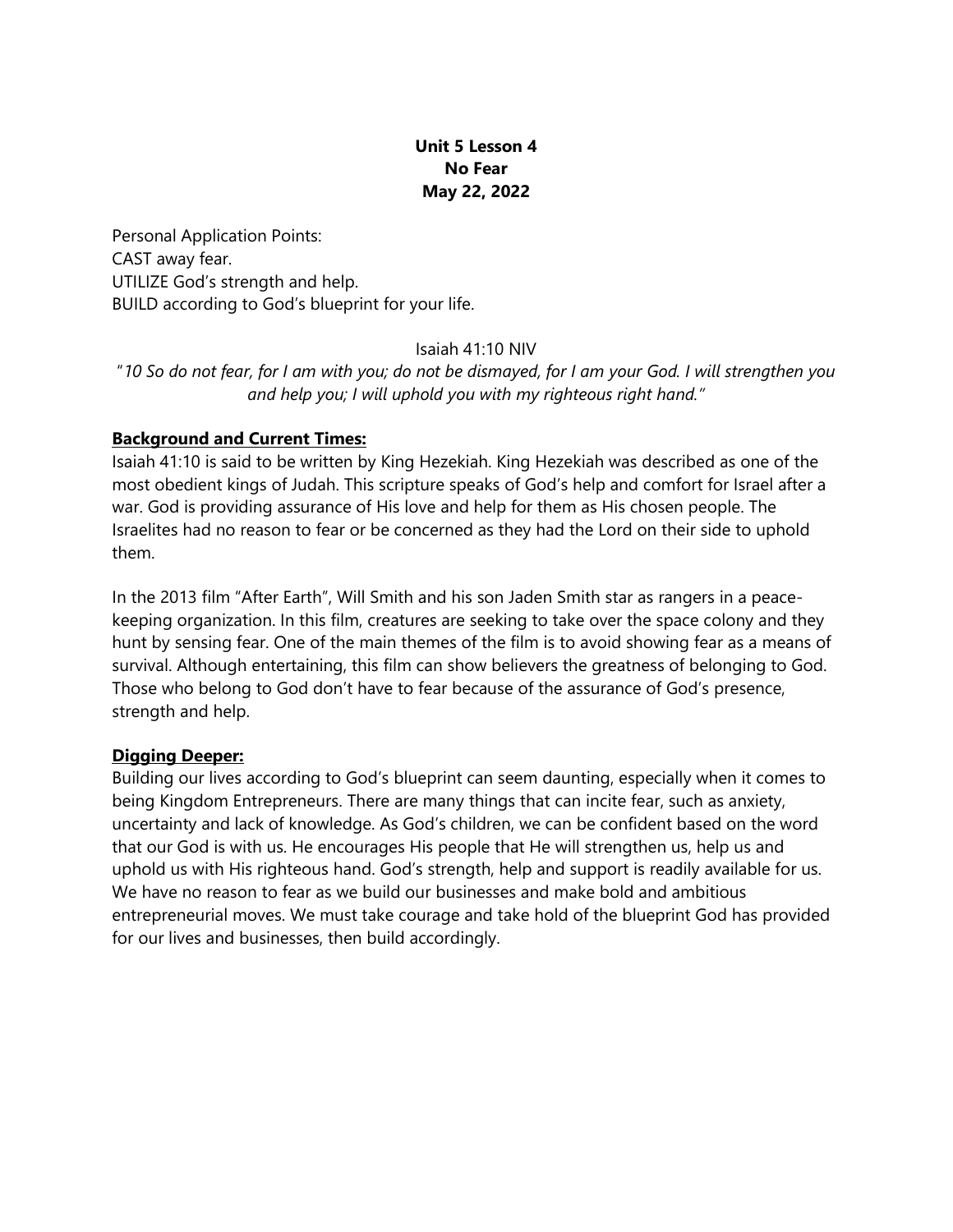# **Unit 5 Lesson 4 No Fear May 22, 2022**

Personal Application Points: CAST away fear. UTILIZE God's strength and help. BUILD according to God's blueprint for your life.

Isaiah 41:10 NIV

"*10 So do not fear, for I am with you; do not be dismayed, for I am your God. I will strengthen you and help you; I will uphold you with my righteous right hand."*

# **Background and Current Times:**

Isaiah 41:10 is said to be written by King Hezekiah. King Hezekiah was described as one of the most obedient kings of Judah. This scripture speaks of God's help and comfort for Israel after a war. God is providing assurance of His love and help for them as His chosen people. The Israelites had no reason to fear or be concerned as they had the Lord on their side to uphold them.

In the 2013 film "After Earth", Will Smith and his son Jaden Smith star as rangers in a peacekeeping organization. In this film, creatures are seeking to take over the space colony and they hunt by sensing fear. One of the main themes of the film is to avoid showing fear as a means of survival. Although entertaining, this film can show believers the greatness of belonging to God. Those who belong to God don't have to fear because of the assurance of God's presence, strength and help.

# **Digging Deeper:**

Building our lives according to God's blueprint can seem daunting, especially when it comes to being Kingdom Entrepreneurs. There are many things that can incite fear, such as anxiety, uncertainty and lack of knowledge. As God's children, we can be confident based on the word that our God is with us. He encourages His people that He will strengthen us, help us and uphold us with His righteous hand. God's strength, help and support is readily available for us. We have no reason to fear as we build our businesses and make bold and ambitious entrepreneurial moves. We must take courage and take hold of the blueprint God has provided for our lives and businesses, then build accordingly.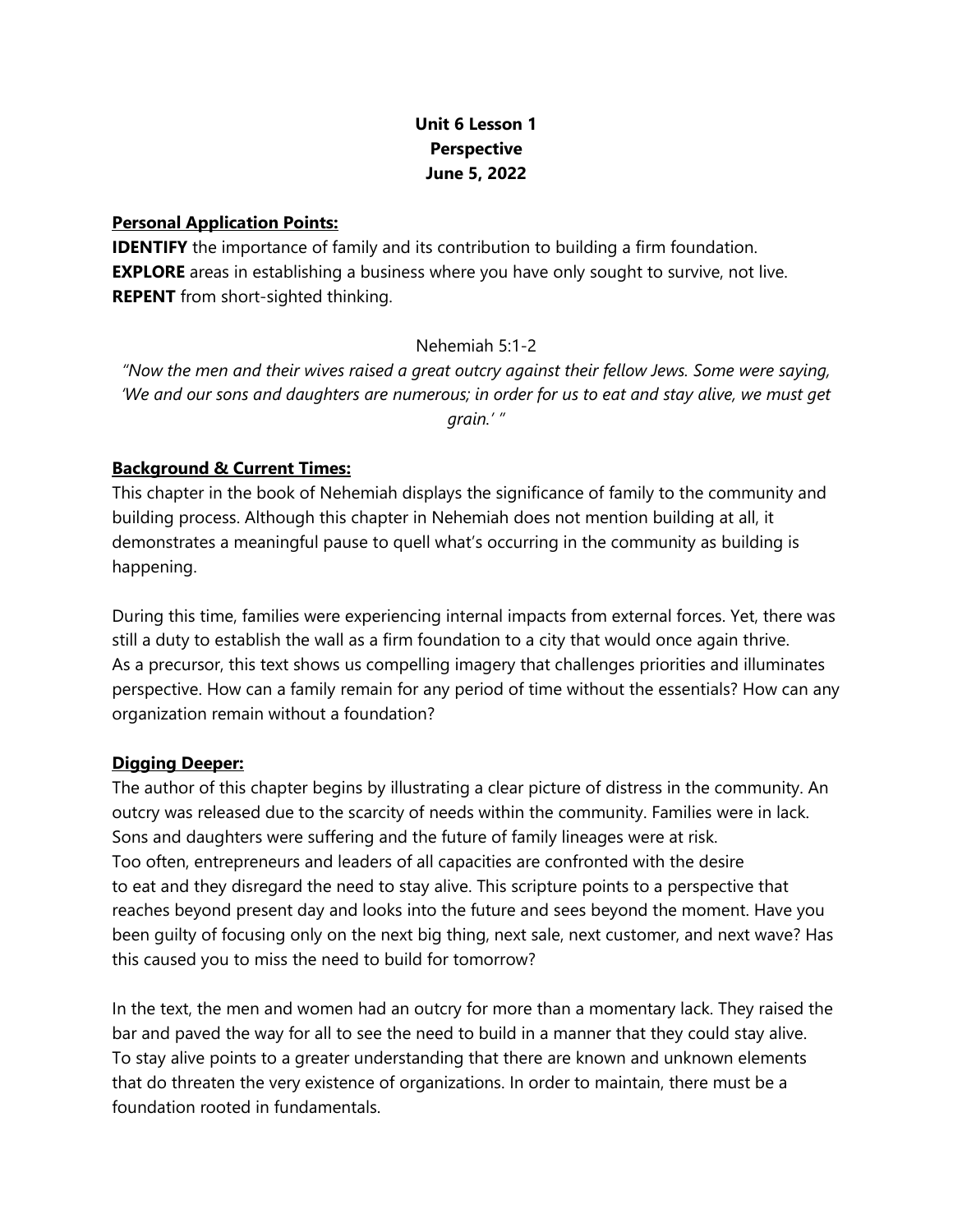# **Unit 6 Lesson 1 Perspective June 5, 2022**

## **Personal Application Points:**

**IDENTIFY** the importance of family and its contribution to building a firm foundation. **EXPLORE** areas in establishing a business where you have only sought to survive, not live. **REPENT** from short-sighted thinking.

# Nehemiah 5:1-2

*"Now the men and their wives raised a great outcry against their fellow Jews. Some were saying, 'We and our sons and daughters are numerous; in order for us to eat and stay alive, we must get grain.' "*

# **Background & Current Times:**

This chapter in the book of Nehemiah displays the significance of family to the community and building process. Although this chapter in Nehemiah does not mention building at all, it demonstrates a meaningful pause to quell what's occurring in the community as building is happening.

During this time, families were experiencing internal impacts from external forces. Yet, there was still a duty to establish the wall as a firm foundation to a city that would once again thrive. As a precursor, this text shows us compelling imagery that challenges priorities and illuminates perspective. How can a family remain for any period of time without the essentials? How can any organization remain without a foundation?

# **Digging Deeper:**

The author of this chapter begins by illustrating a clear picture of distress in the community. An outcry was released due to the scarcity of needs within the community. Families were in lack. Sons and daughters were suffering and the future of family lineages were at risk. Too often, entrepreneurs and leaders of all capacities are confronted with the desire to eat and they disregard the need to stay alive. This scripture points to a perspective that reaches beyond present day and looks into the future and sees beyond the moment. Have you been guilty of focusing only on the next big thing, next sale, next customer, and next wave? Has this caused you to miss the need to build for tomorrow?

In the text, the men and women had an outcry for more than a momentary lack. They raised the bar and paved the way for all to see the need to build in a manner that they could stay alive. To stay alive points to a greater understanding that there are known and unknown elements that do threaten the very existence of organizations. In order to maintain, there must be a foundation rooted in fundamentals.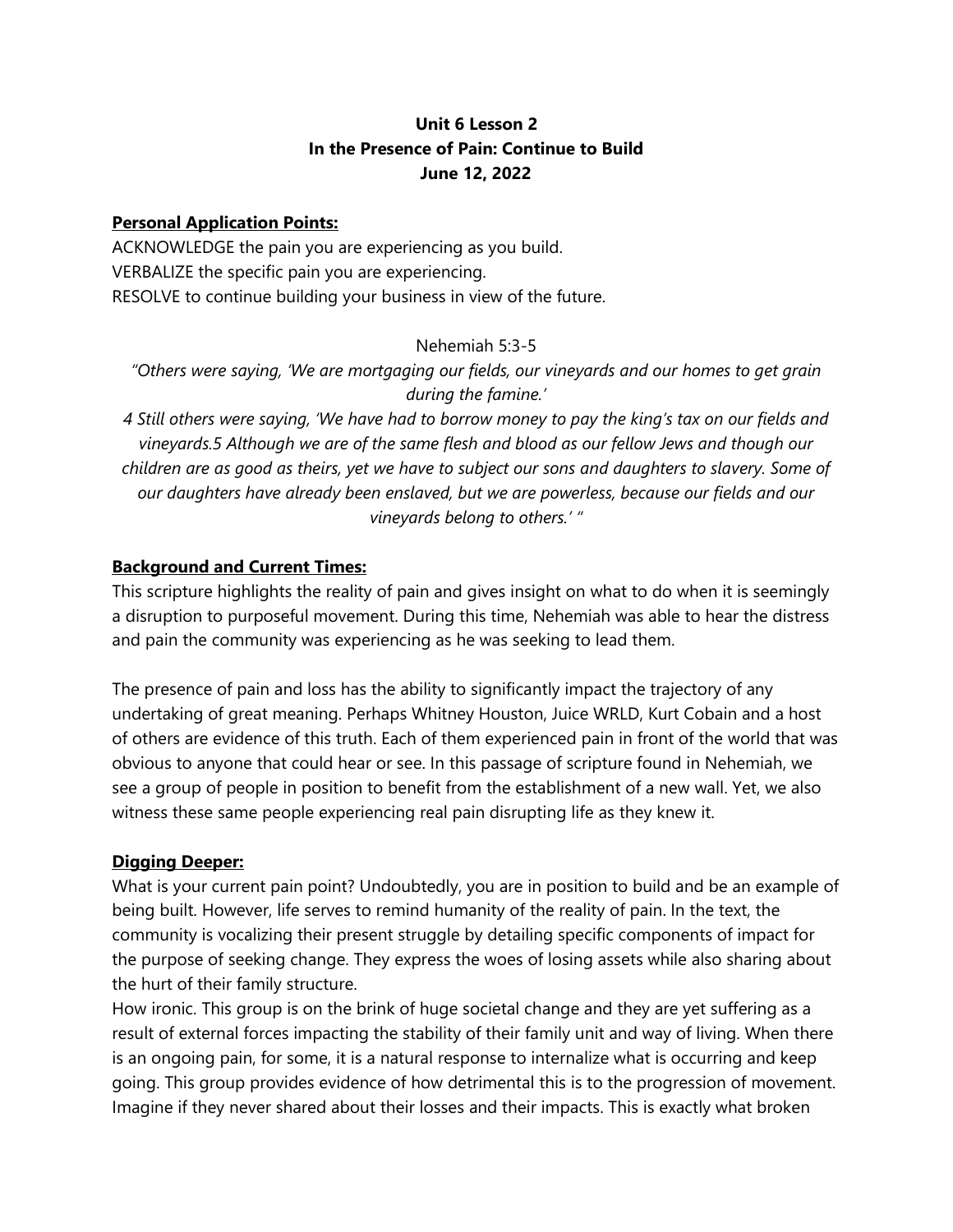# **Unit 6 Lesson 2 In the Presence of Pain: Continue to Build June 12, 2022**

# **Personal Application Points:**

ACKNOWLEDGE the pain you are experiencing as you build. VERBALIZE the specific pain you are experiencing. RESOLVE to continue building your business in view of the future.

# Nehemiah 5:3-5

*"Others were saying, 'We are mortgaging our fields, our vineyards and our homes to get grain during the famine.'*

*4 Still others were saying, 'We have had to borrow money to pay the king's tax on our fields and vineyards.5 Although we are of the same flesh and blood as our fellow Jews and though our children are as good as theirs, yet we have to subject our sons and daughters to slavery. Some of our daughters have already been enslaved, but we are powerless, because our fields and our vineyards belong to others.' "*

# **Background and Current Times:**

This scripture highlights the reality of pain and gives insight on what to do when it is seemingly a disruption to purposeful movement. During this time, Nehemiah was able to hear the distress and pain the community was experiencing as he was seeking to lead them.

The presence of pain and loss has the ability to significantly impact the trajectory of any undertaking of great meaning. Perhaps Whitney Houston, Juice WRLD, Kurt Cobain and a host of others are evidence of this truth. Each of them experienced pain in front of the world that was obvious to anyone that could hear or see. In this passage of scripture found in Nehemiah, we see a group of people in position to benefit from the establishment of a new wall. Yet, we also witness these same people experiencing real pain disrupting life as they knew it.

# **Digging Deeper:**

What is your current pain point? Undoubtedly, you are in position to build and be an example of being built. However, life serves to remind humanity of the reality of pain. In the text, the community is vocalizing their present struggle by detailing specific components of impact for the purpose of seeking change. They express the woes of losing assets while also sharing about the hurt of their family structure.

How ironic. This group is on the brink of huge societal change and they are yet suffering as a result of external forces impacting the stability of their family unit and way of living. When there is an ongoing pain, for some, it is a natural response to internalize what is occurring and keep going. This group provides evidence of how detrimental this is to the progression of movement. Imagine if they never shared about their losses and their impacts. This is exactly what broken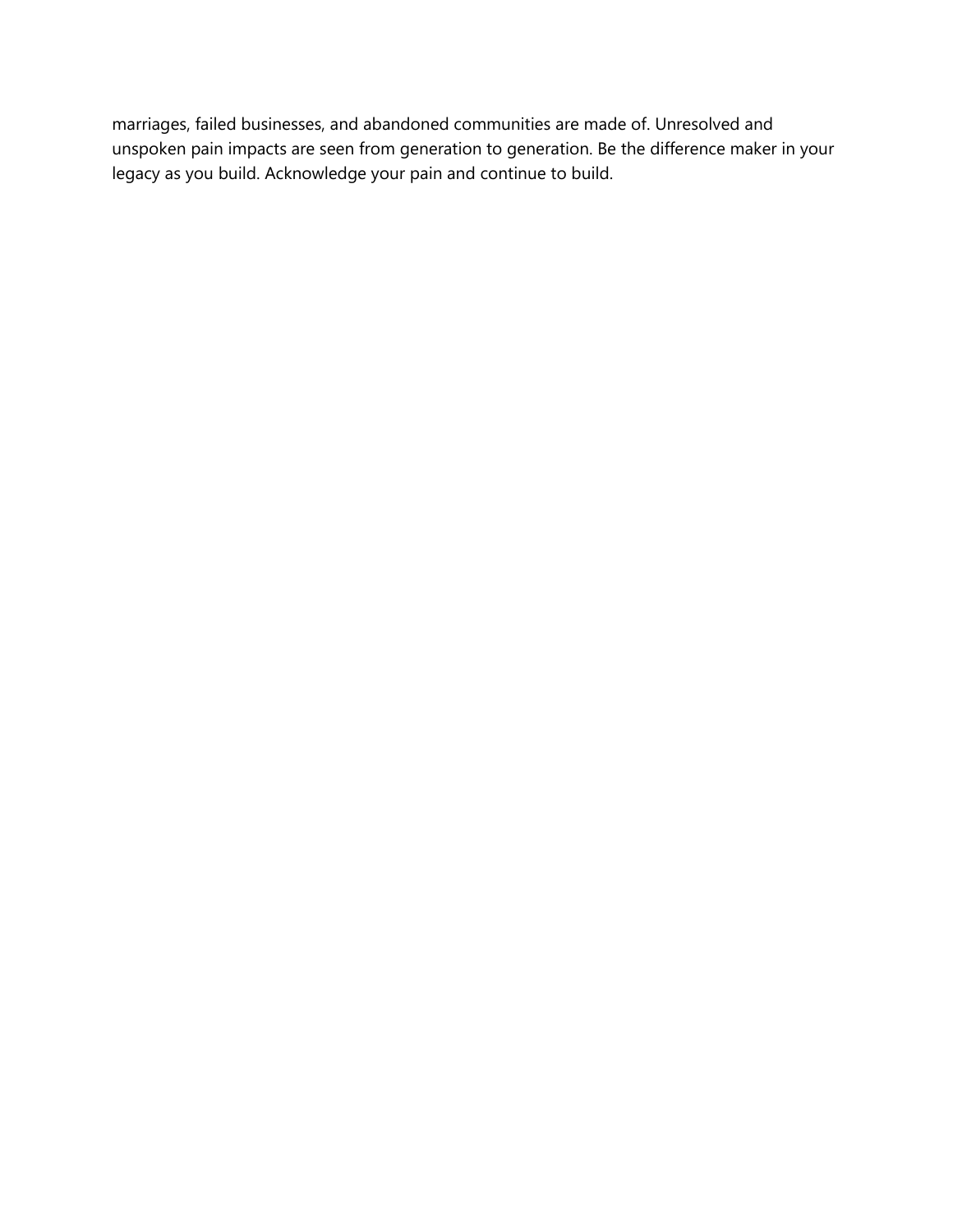marriages, failed businesses, and abandoned communities are made of. Unresolved and unspoken pain impacts are seen from generation to generation. Be the difference maker in your legacy as you build. Acknowledge your pain and continue to build.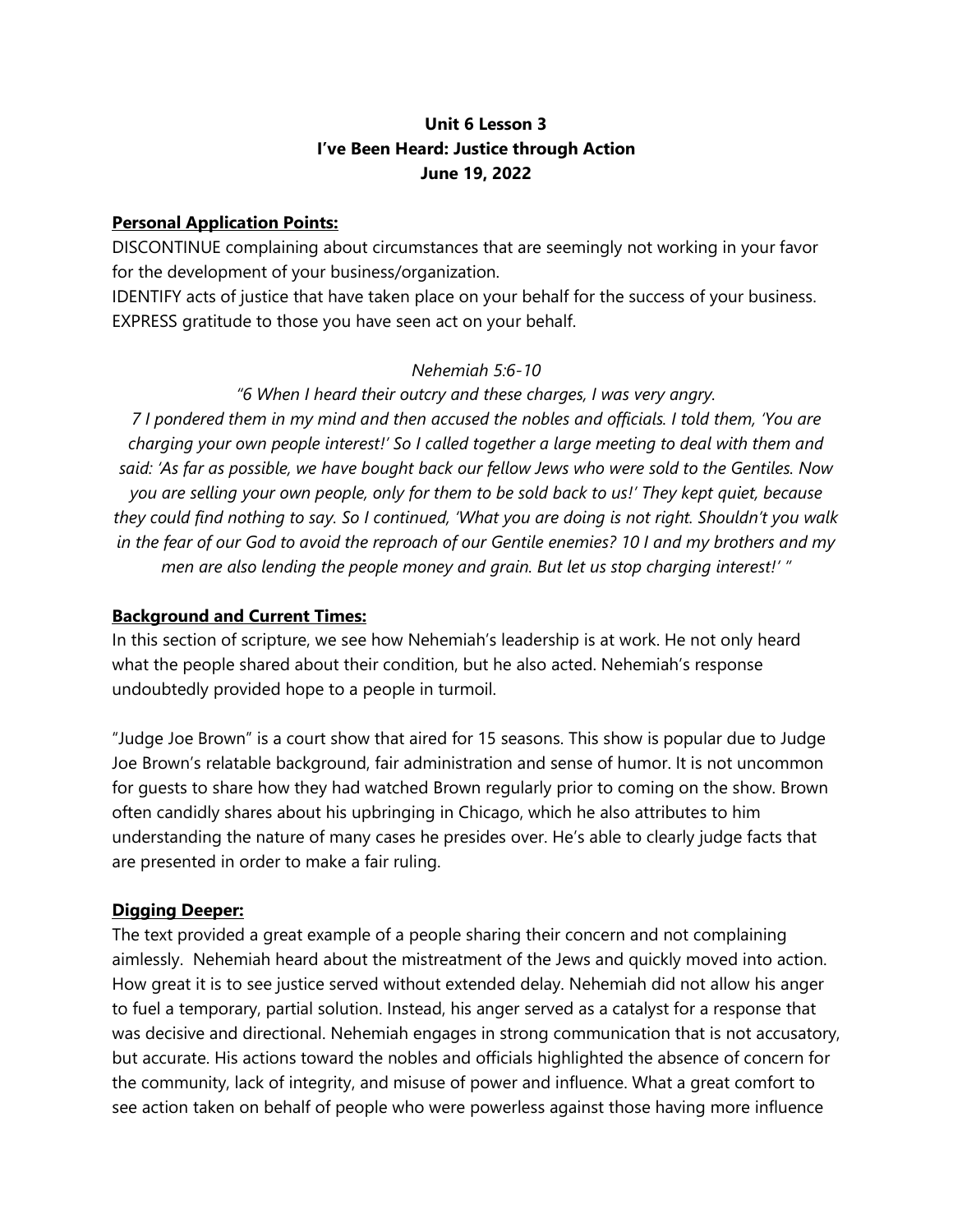# **Unit 6 Lesson 3 I've Been Heard: Justice through Action June 19, 2022**

## **Personal Application Points:**

DISCONTINUE complaining about circumstances that are seemingly not working in your favor for the development of your business/organization.

IDENTIFY acts of justice that have taken place on your behalf for the success of your business. EXPRESS gratitude to those you have seen act on your behalf.

#### *Nehemiah 5:6-10*

# *"6 When I heard their outcry and these charges, I was very angry.*

*7 I pondered them in my mind and then accused the nobles and officials. I told them, 'You are charging your own people interest!' So I called together a large meeting to deal with them and said: 'As far as possible, we have bought back our fellow Jews who were sold to the Gentiles. Now you are selling your own people, only for them to be sold back to us!' They kept quiet, because they could find nothing to say. So I continued, 'What you are doing is not right. Shouldn't you walk in the fear of our God to avoid the reproach of our Gentile enemies? 10 I and my brothers and my men are also lending the people money and grain. But let us stop charging interest!' "*

## **Background and Current Times:**

In this section of scripture, we see how Nehemiah's leadership is at work. He not only heard what the people shared about their condition, but he also acted. Nehemiah's response undoubtedly provided hope to a people in turmoil.

"Judge Joe Brown" is a court show that aired for 15 seasons. This show is popular due to Judge Joe Brown's relatable background, fair administration and sense of humor. It is not uncommon for guests to share how they had watched Brown regularly prior to coming on the show. Brown often candidly shares about his upbringing in Chicago, which he also attributes to him understanding the nature of many cases he presides over. He's able to clearly judge facts that are presented in order to make a fair ruling.

# **Digging Deeper:**

The text provided a great example of a people sharing their concern and not complaining aimlessly. Nehemiah heard about the mistreatment of the Jews and quickly moved into action. How great it is to see justice served without extended delay. Nehemiah did not allow his anger to fuel a temporary, partial solution. Instead, his anger served as a catalyst for a response that was decisive and directional. Nehemiah engages in strong communication that is not accusatory, but accurate. His actions toward the nobles and officials highlighted the absence of concern for the community, lack of integrity, and misuse of power and influence. What a great comfort to see action taken on behalf of people who were powerless against those having more influence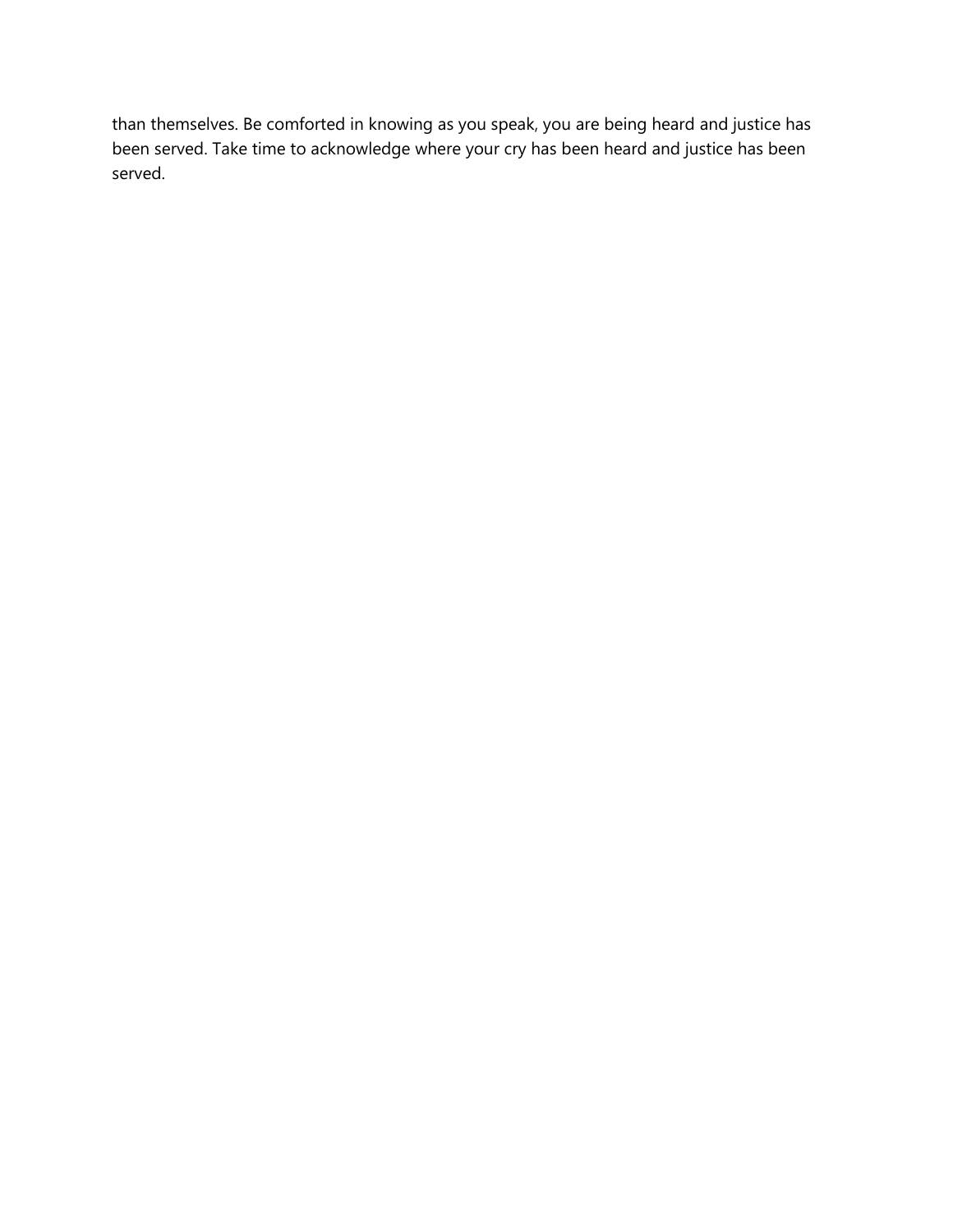than themselves. Be comforted in knowing as you speak, you are being heard and justice has been served. Take time to acknowledge where your cry has been heard and justice has been served.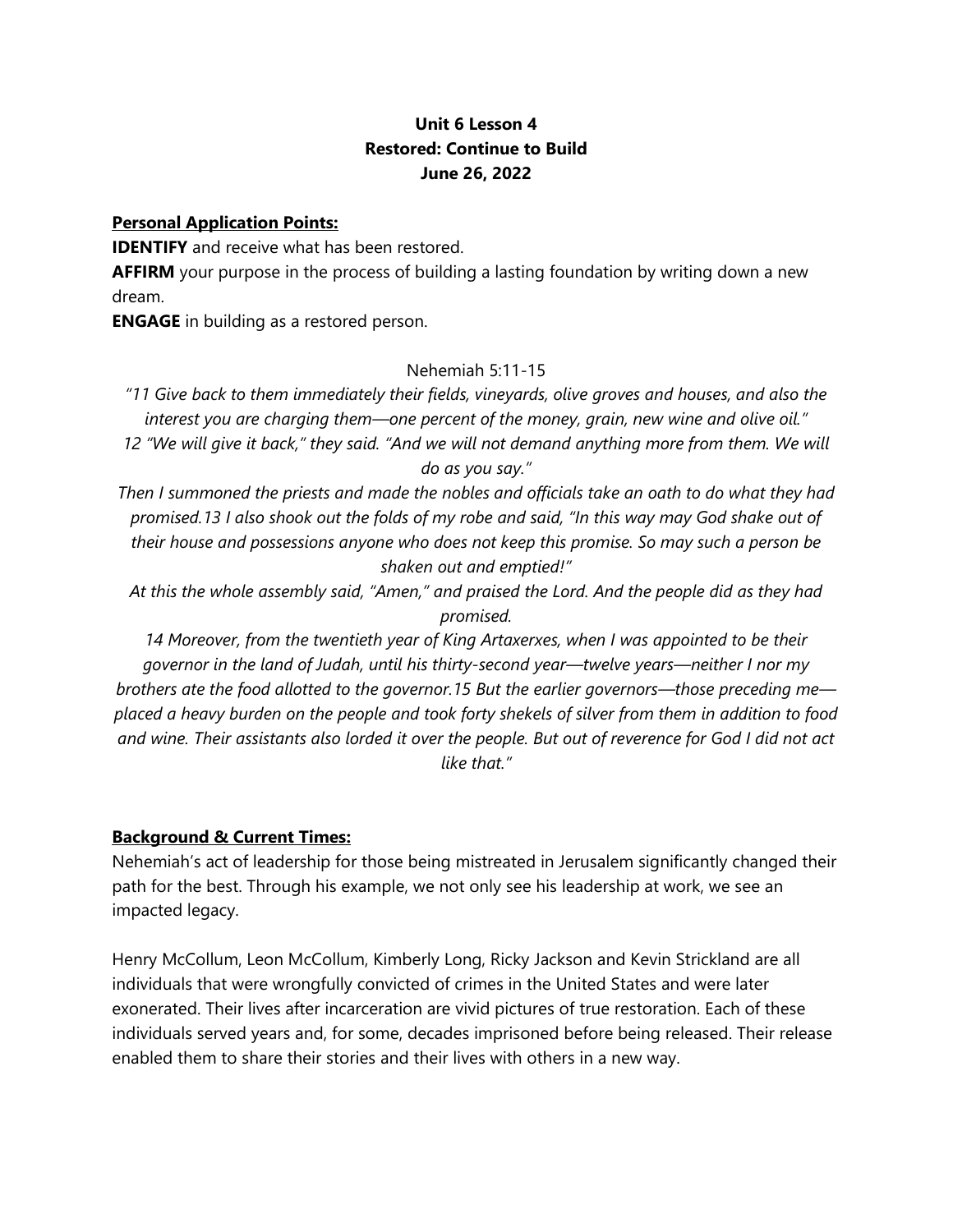# **Unit 6 Lesson 4 Restored: Continue to Build June 26, 2022**

#### **Personal Application Points:**

**IDENTIFY** and receive what has been restored.

**AFFIRM** your purpose in the process of building a lasting foundation by writing down a new dream.

**ENGAGE** in building as a restored person.

# Nehemiah 5:11-15

*"11 Give back to them immediately their fields, vineyards, olive groves and houses, and also the interest you are charging them—one percent of the money, grain, new wine and olive oil." 12 "We will give it back," they said. "And we will not demand anything more from them. We will do as you say."*

*Then I summoned the priests and made the nobles and officials take an oath to do what they had promised.13 I also shook out the folds of my robe and said, "In this way may God shake out of their house and possessions anyone who does not keep this promise. So may such a person be shaken out and emptied!"*

*At this the whole assembly said, "Amen," and praised the Lord. And the people did as they had promised.*

*14 Moreover, from the twentieth year of King Artaxerxes, when I was appointed to be their governor in the land of Judah, until his thirty-second year—twelve years—neither I nor my brothers ate the food allotted to the governor.15 But the earlier governors—those preceding me placed a heavy burden on the people and took forty shekels of silver from them in addition to food and wine. Their assistants also lorded it over the people. But out of reverence for God I did not act like that."*

# **Background & Current Times:**

Nehemiah's act of leadership for those being mistreated in Jerusalem significantly changed their path for the best. Through his example, we not only see his leadership at work, we see an impacted legacy.

Henry McCollum, Leon McCollum, Kimberly Long, Ricky Jackson and Kevin Strickland are all individuals that were wrongfully convicted of crimes in the United States and were later exonerated. Their lives after incarceration are vivid pictures of true restoration. Each of these individuals served years and, for some, decades imprisoned before being released. Their release enabled them to share their stories and their lives with others in a new way.